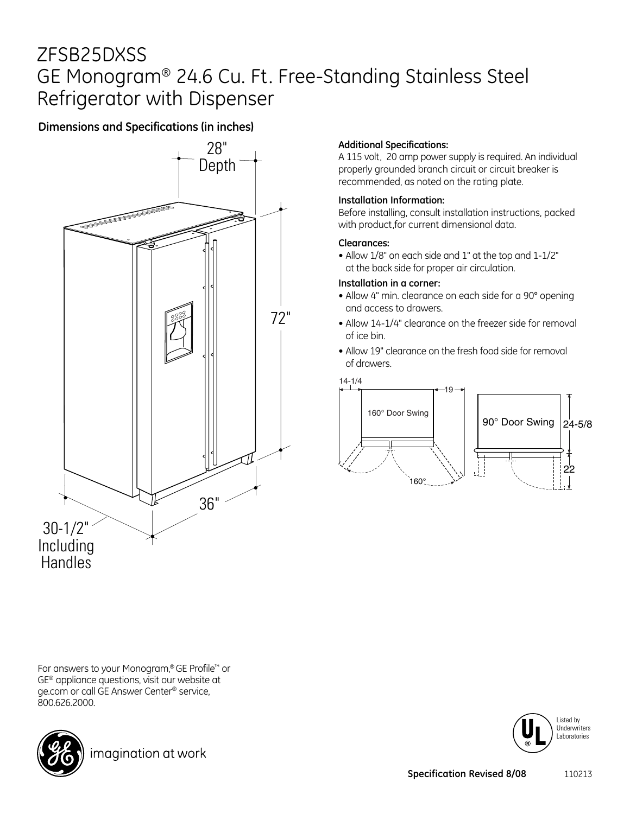# ZFSB25DXSS GE Monogram® 24.6 Cu. Ft. Free-Standing Stainless Steel Refrigerator with Dispenser

### **Dimensions and Specifications (in inches)**



#### **Additional Specifications:**

A 115 volt, 20 amp power supply is required. An individual properly grounded branch circuit or circuit breaker is recommended, as noted on the rating plate.

#### **Installation Information:**

Before installing, consult installation instructions, packed with product,for current dimensional data.

#### **Clearances:**

• Allow 1/8" on each side and 1" at the top and 1-1/2" at the back side for proper air circulation.

#### **Installation in a corner:**

- Allow 4" min. clearance on each side for a 90° opening and access to drawers.
- Allow 14-1/4" clearance on the freezer side for removal of ice bin.
- Allow 19" clearance on the fresh food side for removal of drawers.





For answers to your Monogram,® GE Profile™ or GE® appliance questions, visit our website at ge.com or call GE Answer Center® service, 800.626.2000.



imagination at work